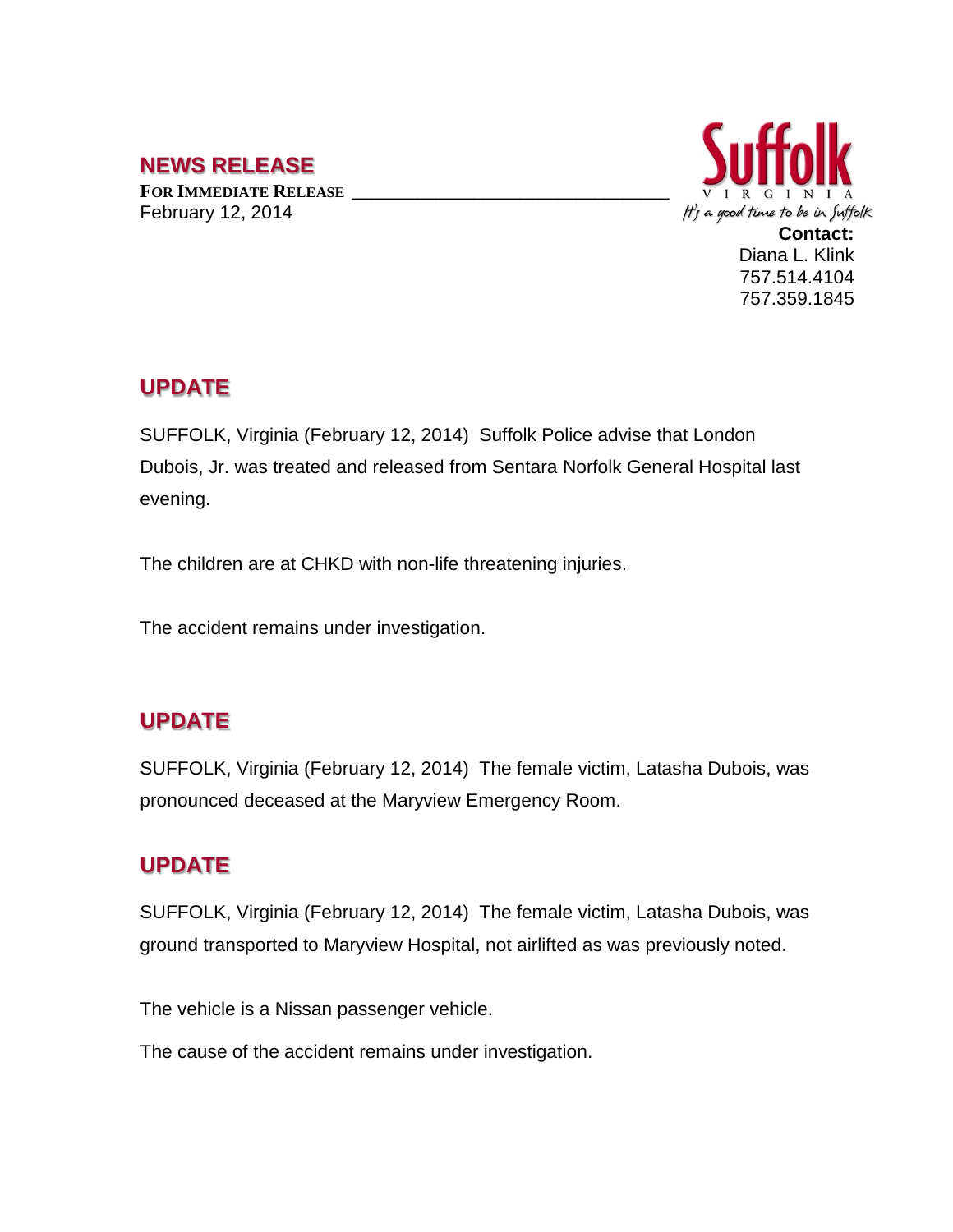# **NEWS RELEASE**

**FOR IMMEDIATE RELEASE \_\_\_\_\_\_\_\_\_\_\_\_\_\_\_\_\_\_\_\_\_\_\_\_\_\_\_\_\_\_\_\_\_\_** February 12, 2014



757.359.1845

#### **UPDATE**

SUFFOLK, Virginia (February 12, 2014) Suffolk Police advise that London Dubois, Jr. was treated and released from Sentara Norfolk General Hospital last evening.

The children are at CHKD with non-life threatening injuries.

The accident remains under investigation.

# **UPDATE**

SUFFOLK, Virginia (February 12, 2014) The female victim, Latasha Dubois, was pronounced deceased at the Maryview Emergency Room.

# **UPDATE**

SUFFOLK, Virginia (February 12, 2014) The female victim, Latasha Dubois, was ground transported to Maryview Hospital, not airlifted as was previously noted.

The vehicle is a Nissan passenger vehicle.

The cause of the accident remains under investigation.